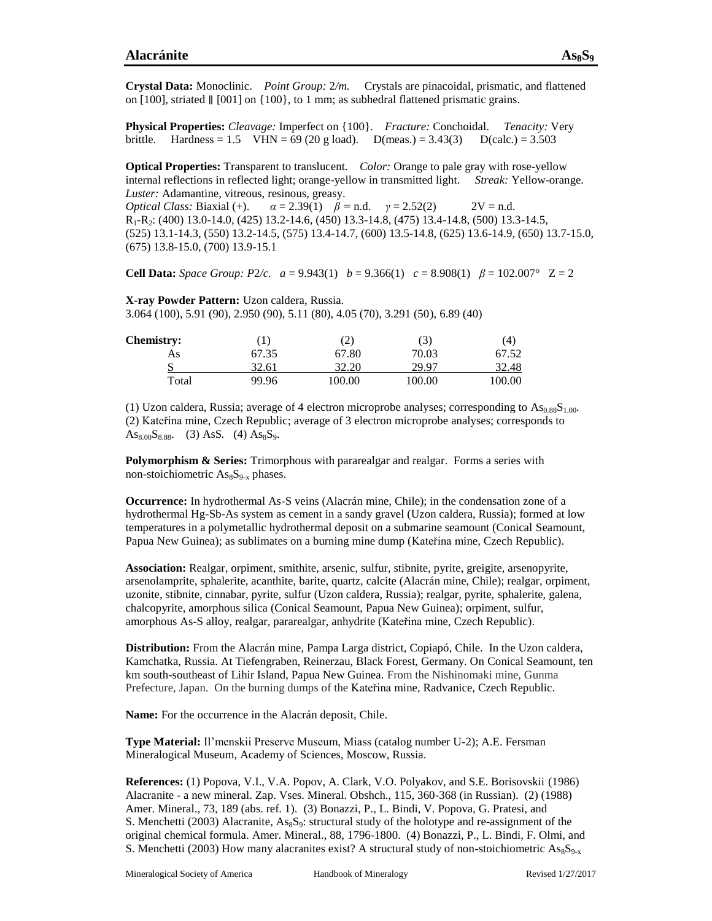**Physical Properties:** *Cleavage:* Imperfect on {100}. *Fracture:* Conchoidal. *Tenacity:* Very brittle. Hardness = 1.5 VHN = 69 (20 g load).  $D(meas.) = 3.43(3)$   $D(calc.) = 3.503$ 

**Optical Properties:** Transparent to translucent. *Color:* Orange to pale gray with rose-yellow internal reflections in reflected light; orange-yellow in transmitted light. *Streak:* Yellow-orange. *Luster:* Adamantine, vitreous, resinous, greasy. *Optical Class:* Biaxial (+).  $\alpha = 2.39(1)$   $\beta = n.d.$   $\gamma = 2.52(2)$  2V = n.d.

R1-R2: (400) 13.0-14.0, (425) 13.2-14.6, (450) 13.3-14.8, (475) 13.4-14.8, (500) 13.3-14.5, (525) 13.1-14.3, (550) 13.2-14.5, (575) 13.4-14.7, (600) 13.5-14.8, (625) 13.6-14.9, (650) 13.7-15.0, (675) 13.8-15.0, (700) 13.9-15.1

**Cell Data:** *Space Group: P2/c.*  $a = 9.943(1)$   $b = 9.366(1)$   $c = 8.908(1)$   $\beta = 102.007^{\circ}$   $Z = 2$ 

**X-ray Powder Pattern:** Uzon caldera, Russia. 3.064 (100), 5.91 (90), 2.950 (90), 5.11 (80), 4.05 (70), 3.291 (50), 6.89 (40)

| <b>Chemistry:</b> |       | 2)     | (3)    | (4)    |
|-------------------|-------|--------|--------|--------|
| As                | 67.35 | 67.80  | 70.03  | 67.52  |
|                   | 32.61 | 32.20  | 29.97  | 32.48  |
| Total             | 99.96 | 100.00 | 100.00 | 100.00 |

(1) Uzon caldera, Russia; average of 4 electron microprobe analyses; corresponding to  $As<sub>0.88</sub>S<sub>1.00</sub>$ . (2) Kateřina mine, Czech Republic; average of 3 electron microprobe analyses; corresponds to As<sub>8.00</sub>S<sub>8.88</sub>. (3) AsS. (4) As<sub>8</sub>S<sub>9</sub>.

**Polymorphism & Series:** Trimorphous with pararealgar and realgar. Forms a series with non-stoichiometric  $\text{As}_{8}\text{S}_{9-x}$  phases.

**Occurrence:** In hydrothermal As-S veins (Alacrán mine, Chile); in the condensation zone of a hydrothermal Hg-Sb-As system as cement in a sandy gravel (Uzon caldera, Russia); formed at low temperatures in a polymetallic hydrothermal deposit on a submarine seamount (Conical Seamount, Papua New Guinea); as sublimates on a burning mine dump (Kateřina mine, Czech Republic).

**Association:** Realgar, orpiment, smithite, arsenic, sulfur, stibnite, pyrite, greigite, arsenopyrite, arsenolamprite, sphalerite, acanthite, barite, quartz, calcite (Alacrán mine, Chile); realgar, orpiment, uzonite, stibnite, cinnabar, pyrite, sulfur (Uzon caldera, Russia); realgar, pyrite, sphalerite, galena, chalcopyrite, amorphous silica (Conical Seamount, Papua New Guinea); orpiment, sulfur, amorphous As-S alloy, realgar, pararealgar, anhydrite (Kateřina mine, Czech Republic).

**Distribution:** From the Alacrán mine, Pampa Larga district, Copiapó, Chile. In the Uzon caldera, Kamchatka, Russia. At Tiefengraben, Reinerzau, Black Forest, Germany. On Conical Seamount, ten km south-southeast of Lihir Island, Papua New Guinea. From the Nishinomaki mine, Gunma Prefecture, Japan. On the burning dumps of the Kateřina mine, Radvanice, Czech Republic.

**Name:** For the occurrence in the Alacrán deposit, Chile.

**Type Material:** Il'menskii Preserve Museum, Miass (catalog number U-2); A.E. Fersman Mineralogical Museum, Academy of Sciences, Moscow, Russia.

**References:** (1) Popova, V.I., V.A. Popov, A. Clark, V.O. Polyakov, and S.E. Borisovskii (1986) Alacranite - a new mineral. Zap. Vses. Mineral. Obshch., 115, 360-368 (in Russian). (2) (1988) Amer. Mineral., 73, 189 (abs. ref. 1). (3) Bonazzi, P., L. Bindi, V. Popova, G. Pratesi, and S. Menchetti (2003) Alacranite,  $\text{As}_8\text{S}_9$ : structural study of the holotype and [re-assignment](http://ammin.geoscienceworld.org/content/88/11-12/1796) of the original [chemical](http://ammin.geoscienceworld.org/content/88/11-12/1796) formula. Amer. [Mineral.,](http://ammin.geoscienceworld.org/georef/88/11-12) 88, 1796-1800. (4) Bonazzi, P., L. Bindi, F. Olmi, and S. Menchetti (2003) How many alacranites exist? A structural study of non-stoichiometric  $\text{As}_8\text{S}_{9-x}$